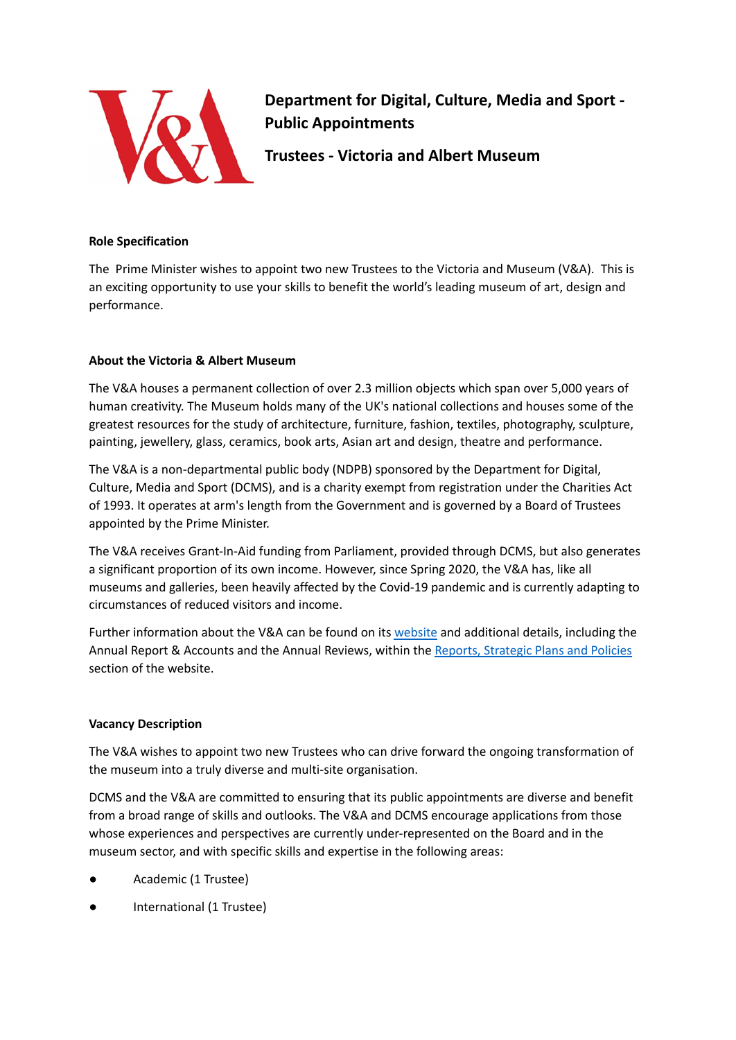

**Department for Digital, Culture, Media and Sport - Public Appointments**

**Trustees - Victoria and Albert Museum**

### **Role Specification**

The Prime Minister wishes to appoint two new Trustees to the Victoria and Museum (V&A). This is an exciting opportunity to use your skills to benefit the world's leading museum of art, design and performance.

# **About the Victoria & Albert Museum**

The V&A houses a permanent collection of over 2.3 million objects which span over 5,000 years of human creativity. The Museum holds many of the UK's national collections and houses some of the greatest resources for the study of architecture, furniture, fashion, textiles, photography, sculpture, painting, jewellery, glass, ceramics, book arts, Asian art and design, theatre and performance.

The V&A is a non-departmental public body (NDPB) sponsored by the Department for Digital, Culture, Media and Sport (DCMS), and is a charity exempt from registration under the Charities Act of 1993. It operates at arm's length from the Government and is governed by a Board of Trustees appointed by the Prime Minister.

The V&A receives Grant-In-Aid funding from Parliament, provided through DCMS, but also generates a significant proportion of its own income. However, since Spring 2020, the V&A has, like all museums and galleries, been heavily affected by the Covid-19 pandemic and is currently adapting to circumstances of reduced visitors and income.

Further information about the V&A can be found on its [website](http://www.vam.ac.uk/) and additional details, including the Annual Report & Accounts and the Annual Reviews, within the Reports, [Strategic](https://www.vam.ac.uk/info/reports-strategic-plans-and-policies) Plans and Policies section of the website.

## **Vacancy Description**

The V&A wishes to appoint two new Trustees who can drive forward the ongoing transformation of the museum into a truly diverse and multi-site organisation.

DCMS and the V&A are committed to ensuring that its public appointments are diverse and benefit from a broad range of skills and outlooks. The V&A and DCMS encourage applications from those whose experiences and perspectives are currently under-represented on the Board and in the museum sector, and with specific skills and expertise in the following areas:

- Academic (1 Trustee)
- International (1 Trustee)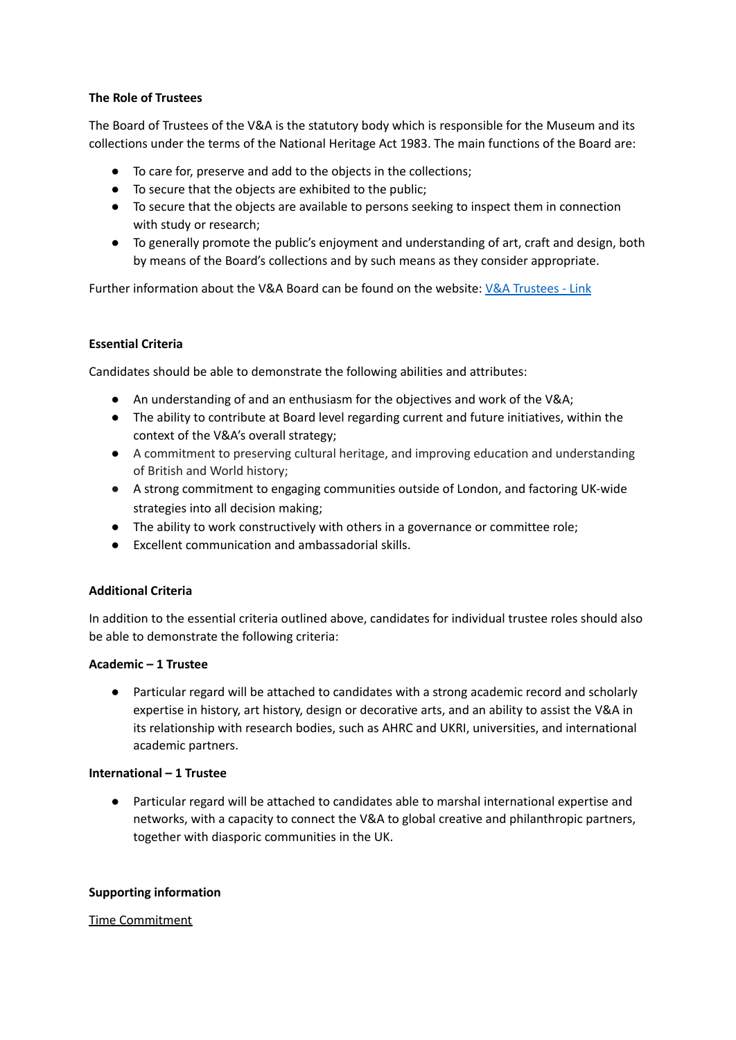## **The Role of Trustees**

The Board of Trustees of the V&A is the statutory body which is responsible for the Museum and its collections under the terms of the National Heritage Act 1983. The main functions of the Board are:

- To care for, preserve and add to the objects in the collections;
- To secure that the objects are exhibited to the public;
- To secure that the objects are available to persons seeking to inspect them in connection with study or research;
- To generally promote the public's enjoyment and understanding of art, craft and design, both by means of the Board's collections and by such means as they consider appropriate.

Further information about the V&A Board can be found on the website: V&A [Trustees](https://www.vam.ac.uk/info/trustees) - Link

## **Essential Criteria**

Candidates should be able to demonstrate the following abilities and attributes:

- An understanding of and an enthusiasm for the objectives and work of the V&A;
- The ability to contribute at Board level regarding current and future initiatives, within the context of the V&A's overall strategy;
- A commitment to preserving cultural heritage, and improving education and understanding of British and World history;
- A strong commitment to engaging communities outside of London, and factoring UK-wide strategies into all decision making;
- The ability to work constructively with others in a governance or committee role;
- Excellent communication and ambassadorial skills.

#### **Additional Criteria**

In addition to the essential criteria outlined above, candidates for individual trustee roles should also be able to demonstrate the following criteria:

#### **Academic – 1 Trustee**

● Particular regard will be attached to candidates with a strong academic record and scholarly expertise in history, art history, design or decorative arts, and an ability to assist the V&A in its relationship with research bodies, such as AHRC and UKRI, universities, and international academic partners.

#### **International – 1 Trustee**

● Particular regard will be attached to candidates able to marshal international expertise and networks, with a capacity to connect the V&A to global creative and philanthropic partners, together with diasporic communities in the UK.

#### **Supporting information**

#### Time Commitment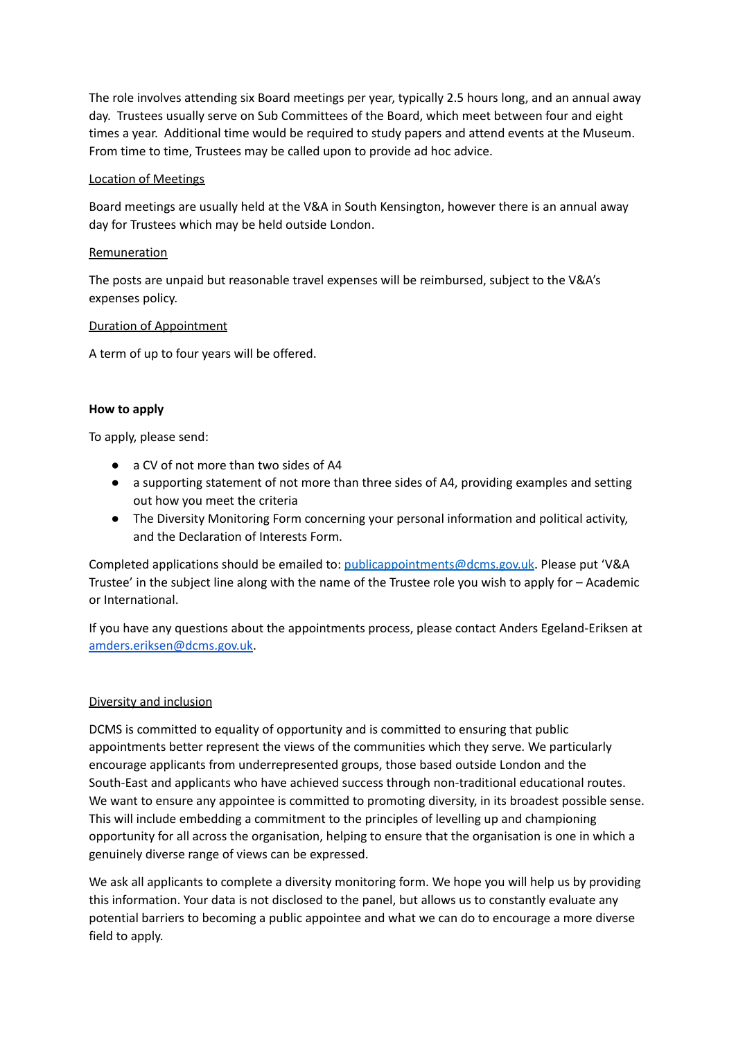The role involves attending six Board meetings per year, typically 2.5 hours long, and an annual away day. Trustees usually serve on Sub Committees of the Board, which meet between four and eight times a year. Additional time would be required to study papers and attend events at the Museum. From time to time, Trustees may be called upon to provide ad hoc advice.

### Location of Meetings

Board meetings are usually held at the V&A in South Kensington, however there is an annual away day for Trustees which may be held outside London.

## Remuneration

The posts are unpaid but reasonable travel expenses will be reimbursed, subject to the V&A's expenses policy.

## Duration of Appointment

A term of up to four years will be offered.

## **How to apply**

To apply, please send:

- a CV of not more than two sides of A4
- a supporting statement of not more than three sides of A4, providing examples and setting out how you meet the criteria
- The Diversity Monitoring Form concerning your personal information and political activity, and the Declaration of Interests Form.

Completed applications should be emailed to: [publicappointments@dcms.gov.uk.](mailto:publicappointments@dcms.gov.uk) Please put 'V&A Trustee' in the subject line along with the name of the Trustee role you wish to apply for – Academic or International.

If you have any questions about the appointments process, please contact Anders Egeland-Eriksen at [amders.eriksen@dcms.gov.uk.](mailto:amders.eriksen@dcms.gov.uk)

## Diversity and inclusion

DCMS is committed to equality of opportunity and is committed to ensuring that public appointments better represent the views of the communities which they serve. We particularly encourage applicants from underrepresented groups, those based outside London and the South-East and applicants who have achieved success through non-traditional educational routes. We want to ensure any appointee is committed to promoting diversity, in its broadest possible sense. This will include embedding a commitment to the principles of levelling up and championing opportunity for all across the organisation, helping to ensure that the organisation is one in which a genuinely diverse range of views can be expressed.

We ask all applicants to complete a diversity monitoring form. We hope you will help us by providing this information. Your data is not disclosed to the panel, but allows us to constantly evaluate any potential barriers to becoming a public appointee and what we can do to encourage a more diverse field to apply.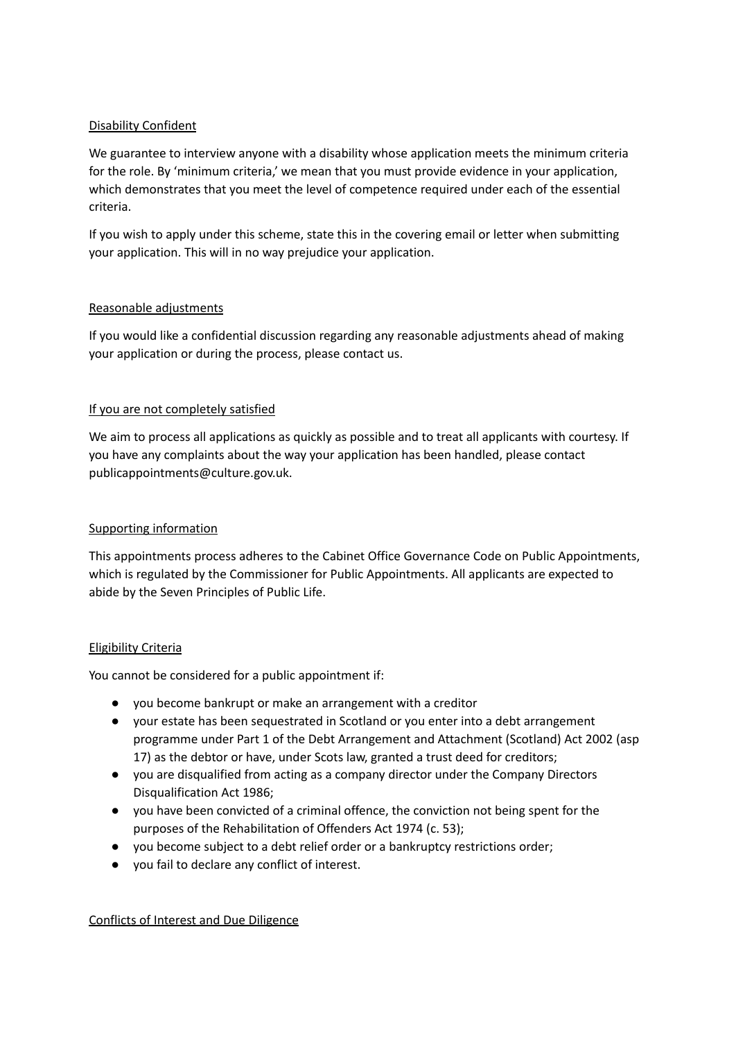## Disability Confident

We guarantee to interview anyone with a disability whose application meets the minimum criteria for the role. By 'minimum criteria,' we mean that you must provide evidence in your application, which demonstrates that you meet the level of competence required under each of the essential criteria.

If you wish to apply under this scheme, state this in the covering email or letter when submitting your application. This will in no way prejudice your application.

## Reasonable adjustments

If you would like a confidential discussion regarding any reasonable adjustments ahead of making your application or during the process, please contact us.

## If you are not completely satisfied

We aim to process all applications as quickly as possible and to treat all applicants with courtesy. If you have any complaints about the way your application has been handled, please contact publicappointments@culture.gov.uk.

## Supporting information

This appointments process adheres to the Cabinet Office Governance Code on Public Appointments, which is regulated by the Commissioner for Public Appointments. All applicants are expected to abide by the Seven Principles of Public Life.

#### Eligibility Criteria

You cannot be considered for a public appointment if:

- vou become bankrupt or make an arrangement with a creditor
- your estate has been sequestrated in Scotland or you enter into a debt arrangement programme under Part 1 of the Debt Arrangement and Attachment (Scotland) Act 2002 (asp 17) as the debtor or have, under Scots law, granted a trust deed for creditors;
- you are disqualified from acting as a company director under the Company Directors Disqualification Act 1986;
- you have been convicted of a criminal offence, the conviction not being spent for the purposes of the Rehabilitation of Offenders Act 1974 (c. 53);
- you become subject to a debt relief order or a bankruptcy restrictions order;
- you fail to declare any conflict of interest.

#### Conflicts of Interest and Due Diligence